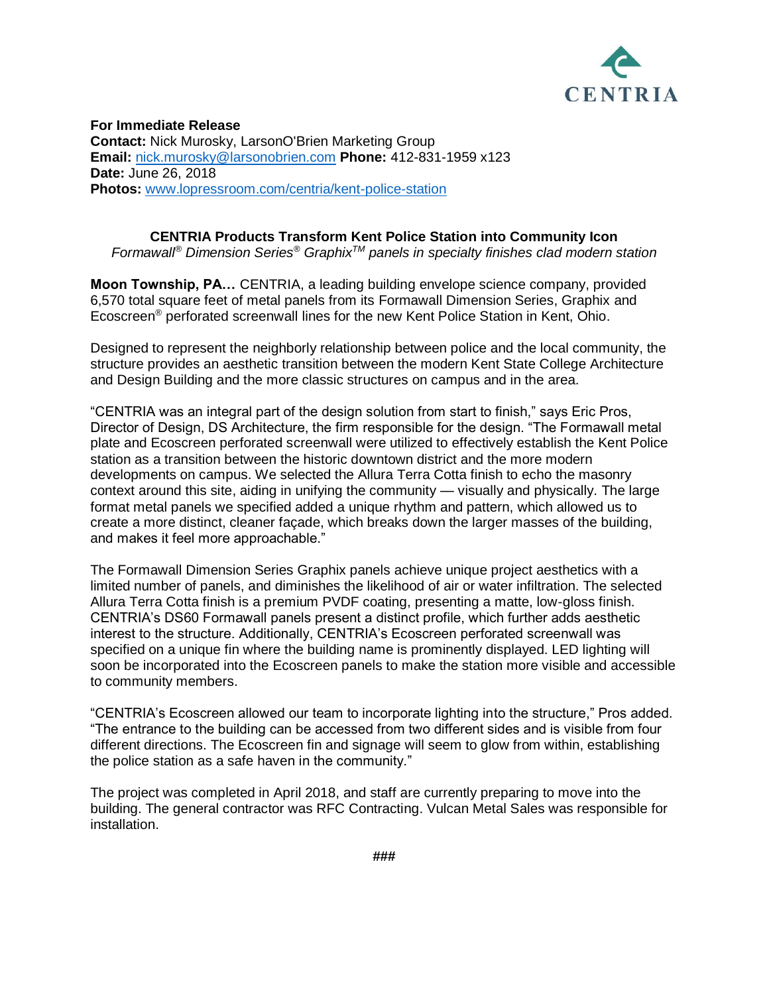

**For Immediate Release Contact:** Nick Murosky, LarsonO'Brien Marketing Group **Email:** [nick.murosky@larsonobrien.com](mailto:nick.murosky@larsonobrien.com) **Phone:** 412-831-1959 x123 **Date:** June 26, 2018 **Photos:** [www.lopressroom.com/centria/kent-police-station](http://www.lopressroom.com/centria/kent-police-station)

## **CENTRIA Products Transform Kent Police Station into Community Icon**

*Formawall® Dimension Series® GraphixTM panels in specialty finishes clad modern station*

**Moon Township, PA…** CENTRIA, a leading building envelope science company, provided 6,570 total square feet of metal panels from its Formawall Dimension Series, Graphix and Ecoscreen® perforated screenwall lines for the new Kent Police Station in Kent, Ohio.

Designed to represent the neighborly relationship between police and the local community, the structure provides an aesthetic transition between the modern Kent State College Architecture and Design Building and the more classic structures on campus and in the area.

"CENTRIA was an integral part of the design solution from start to finish," says Eric Pros, Director of Design, DS Architecture, the firm responsible for the design. "The Formawall metal plate and Ecoscreen perforated screenwall were utilized to effectively establish the Kent Police station as a transition between the historic downtown district and the more modern developments on campus. We selected the Allura Terra Cotta finish to echo the masonry context around this site, aiding in unifying the community — visually and physically. The large format metal panels we specified added a unique rhythm and pattern, which allowed us to create a more distinct, cleaner façade, which breaks down the larger masses of the building, and makes it feel more approachable."

The Formawall Dimension Series Graphix panels achieve unique project aesthetics with a limited number of panels, and diminishes the likelihood of air or water infiltration. The selected Allura Terra Cotta finish is a premium PVDF coating, presenting a matte, low-gloss finish. CENTRIA's DS60 Formawall panels present a distinct profile, which further adds aesthetic interest to the structure. Additionally, CENTRIA's Ecoscreen perforated screenwall was specified on a unique fin where the building name is prominently displayed. LED lighting will soon be incorporated into the Ecoscreen panels to make the station more visible and accessible to community members.

"CENTRIA's Ecoscreen allowed our team to incorporate lighting into the structure," Pros added. "The entrance to the building can be accessed from two different sides and is visible from four different directions. The Ecoscreen fin and signage will seem to glow from within, establishing the police station as a safe haven in the community."

The project was completed in April 2018, and staff are currently preparing to move into the building. The general contractor was RFC Contracting. Vulcan Metal Sales was responsible for installation.